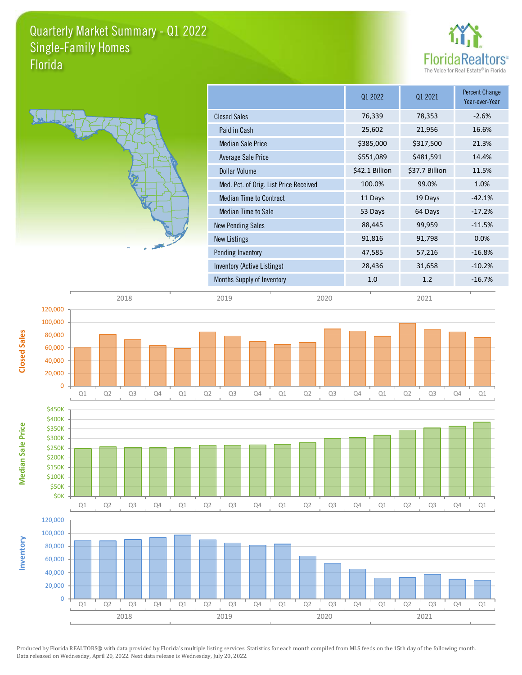## Quarterly Market Summary - Q1 2022 Florida Single-Family Homes





|                                        | 01 2022        | Q1 2021        | Percent Change<br>Year-over-Year |
|----------------------------------------|----------------|----------------|----------------------------------|
| <b>Closed Sales</b>                    | 76,339         | 78,353         | $-2.6%$                          |
| Paid in Cash                           | 25,602         | 21,956         | 16.6%                            |
| <b>Median Sale Price</b>               | \$385,000      | \$317,500      | 21.3%                            |
| Average Sale Price                     | \$551,089      | \$481,591      | 14.4%                            |
| Dollar Volume                          | \$42.1 Billion | \$37.7 Billion | 11.5%                            |
| Med. Pct. of Orig. List Price Received | 100.0%         | 99.0%          | 1.0%                             |
| <b>Median Time to Contract</b>         | 11 Days        | 19 Days        | $-42.1%$                         |
| <b>Median Time to Sale</b>             | 53 Days        | 64 Days        | $-17.2%$                         |
| <b>New Pending Sales</b>               | 88,445         | 99,959         | $-11.5%$                         |
| <b>New Listings</b>                    | 91,816         | 91,798         | 0.0%                             |
| Pending Inventory                      | 47,585         | 57,216         | $-16.8%$                         |
| Inventory (Active Listings)            | 28,436         | 31,658         | $-10.2%$                         |
| Months Supply of Inventory             | 1.0            | 1.2            | $-16.7%$                         |
|                                        |                |                |                                  |

**Closed Sales**

80,000 100,000 120,000







2018 2019 2020 2021

Produced by Florida REALTORS® with data provided by Florida's multiple listing services. Statistics for each month compiled from MLS feeds on the 15th day of the following month. Data released on Wednesday, April 20, 2022. Next data release is Wednesday, July 20, 2022.

2018 2019 2020 2021